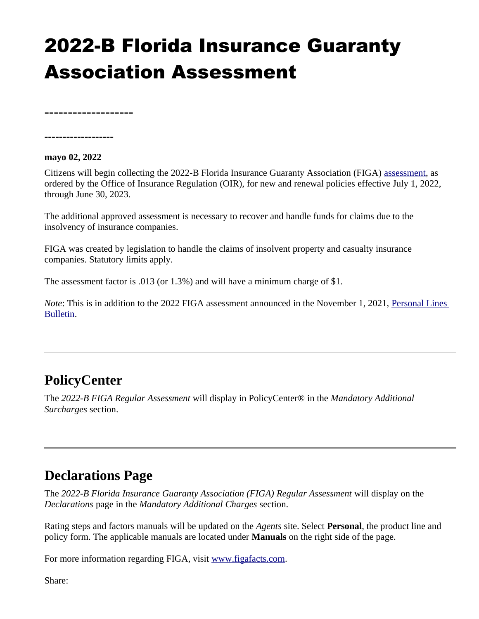## 2022-B Florida Insurance Guaranty Association Assessment

**-------------------**

**-------------------**

## **mayo 02, 2022**

Citizens will begin collecting the 2022-B Florida Insurance Guaranty Association (FIGA) [assessment](https://figafacts.com/assessments/), as ordered by the Office of Insurance Regulation (OIR), for new and renewal policies effective July 1, 2022, through June 30, 2023.

The additional approved assessment is necessary to recover and handle funds for claims due to the insolvency of insurance companies.

FIGA was created by legislation to handle the claims of insolvent property and casualty insurance companies. Statutory limits apply.

The assessment factor is .013 (or 1.3%) and will have a minimum charge of \$1.

*Note*: This is in addition to the 2022 FIGA assessment announced in the November 1, 2021, Personal Lines [Bulletin](https://www.citizensfla.com/-/2022-florida-insurance-guaranty-association-assessment).

## **PolicyCenter**

The *2022-B FIGA Regular Assessment* will display in PolicyCenter® in the *Mandatory Additional Surcharges* section.

## **Declarations Page**

The *2022-B Florida Insurance Guaranty Association (FIGA) Regular Assessment* will display on the *Declarations* page in the *Mandatory Additional Charges* section.

Rating steps and factors manuals will be updated on the *Agents* site. Select **Personal**, the product line and policy form. The applicable manuals are located under **Manuals** on the right side of the page.

For more information regarding FIGA, visit [www.figafacts.com](https://figafacts.com/).

Share: